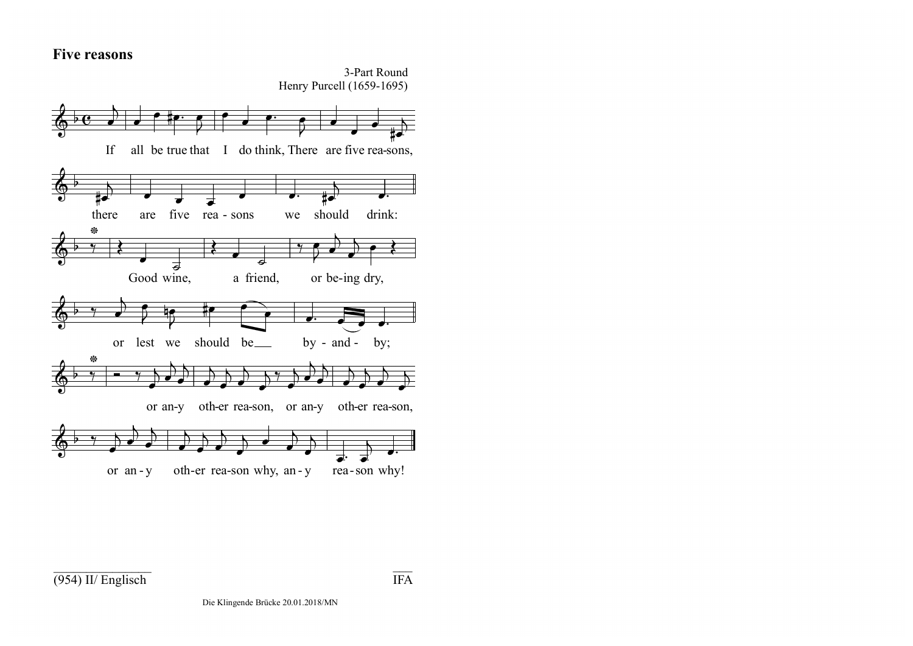## **Five reasons**